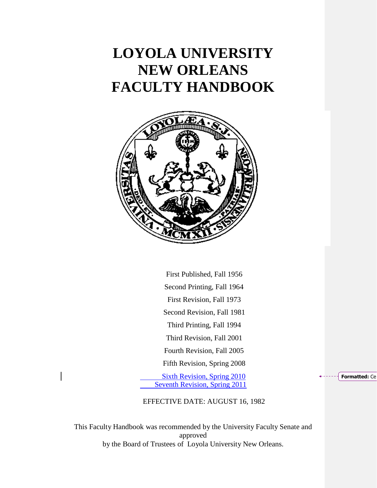# **LOYOLA UNIVERSITY NEW ORLEANS FACULTY HANDBOOK**



First Published, Fall 1956 Second Printing, Fall 1964 First Revision, Fall 1973 Second Revision, Fall 1981 Third Printing, Fall 1994 Third Revision, Fall 2001 Fourth Revision, Fall 2005 Fifth Revision, Spring 2008

Sixth Revision, Spring 2010 Seventh Revision, Spring 2011 **Formatted:** Ce

# EFFECTIVE DATE: AUGUST 16, 1982

This Faculty Handbook was recommended by the University Faculty Senate and approved by the Board of Trustees of Loyola University New Orleans.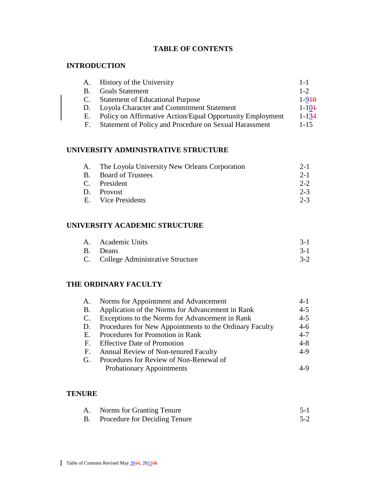# **TABLE OF CONTENTS**

#### **INTRODUCTION**

| A.             | History of the University                                 | $1 - 1$    |
|----------------|-----------------------------------------------------------|------------|
| $\mathbf{B}$ . | <b>Goals Statement</b>                                    | $1 - 2$    |
|                | <b>Statement of Educational Purpose</b>                   | $1 - 910$  |
|                | Loyola Character and Commitment Statement                 | $1 - 10 +$ |
| Е.             | Policy on Affirmative Action/Equal Opportunity Employment | $1 - 134$  |
| H.             | Statement of Policy and Procedure on Sexual Harassment    | $1 - 15$   |

# **UNIVERSITY ADMINISTRATIVE STRUCTURE**

| A. The Loyola University New Orleans Corporation | $2 - 1$ |
|--------------------------------------------------|---------|
| B. Board of Trustees                             | $2 - 1$ |
| C. President                                     | $2 - 2$ |
| D. Provost                                       | $2 - 3$ |
| E. Vice Presidents                               | $2 - 3$ |

# **UNIVERSITY ACADEMIC STRUCTURE**

| A. Academic Units                   |       |
|-------------------------------------|-------|
| B. Deans                            |       |
| C. College Administrative Structure | $3-2$ |

# **THE ORDINARY FACULTY**

| A.          | Norms for Appointment and Advancement                   | $4-1$   |
|-------------|---------------------------------------------------------|---------|
| <b>B.</b>   | Application of the Norms for Advancement in Rank        | $4 - 5$ |
| $C_{\cdot}$ | Exceptions to the Norms for Advancement in Rank         | $4 - 5$ |
| D.          | Procedures for New Appointments to the Ordinary Faculty | $4 - 6$ |
| Е.          | Procedures for Promotion in Rank                        | $4 - 7$ |
|             | F. Effective Date of Promotion                          | $4 - 8$ |
| F.          | Annual Review of Non-tenured Faculty                    | $4-9$   |
| G.          | Procedures for Review of Non-Renewal of                 |         |
|             | <b>Probationary Appointments</b>                        | 4-9     |

#### **TENURE**

| А. | Norms for Granting Tenure        | 5-1     |
|----|----------------------------------|---------|
|    | B. Procedure for Deciding Tenure | $5 - 2$ |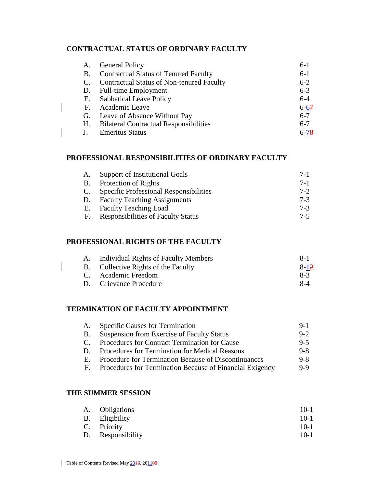#### **CONTRACTUAL STATUS OF ORDINARY FACULTY**

| A. | <b>General Policy</b>                            | $6-1$    |
|----|--------------------------------------------------|----------|
| В. | <b>Contractual Status of Tenured Faculty</b>     | $6-1$    |
|    | <b>Contractual Status of Non-tenured Faculty</b> | $6 - 2$  |
| D. | <b>Full-time Employment</b>                      | $6 - 3$  |
| Е. | <b>Sabbatical Leave Policy</b>                   | $6 - 4$  |
| F. | Academic Leave                                   | $6 - 67$ |
|    | G. Leave of Absence Without Pay                  | $6 - 7$  |
| Н. | <b>Bilateral Contractual Responsibilities</b>    | $6 - 7$  |
|    | <b>Emeritus Status</b>                           | $6 - 78$ |

#### **PROFESSIONAL RESPONSIBILITIES OF ORDINARY FACULTY**

| A. | Support of Institutional Goals                | $7-1$   |
|----|-----------------------------------------------|---------|
| B. | Protection of Rights                          | $7 - 1$ |
| C. | <b>Specific Professional Responsibilities</b> | $7 - 2$ |
| D. | <b>Faculty Teaching Assignments</b>           | $7-3$   |
| Е. | <b>Faculty Teaching Load</b>                  | $7-3$   |
| F. | <b>Responsibilities of Faculty Status</b>     | $7-5$   |

#### **PROFESSIONAL RIGHTS OF THE FACULTY**

| Individual Rights of Faculty Members | $8 - 1$  |
|--------------------------------------|----------|
| B. Collective Rights of the Faculty  | $8 - 12$ |
| C. Academic Freedom                  | $8-3$    |
| D. Grievance Procedure               | 8-4      |

# **TERMINATION OF FACULTY APPOINTMENT**

| А.        | <b>Specific Causes for Termination</b>                   | $9-1$   |
|-----------|----------------------------------------------------------|---------|
| <b>B.</b> | Suspension from Exercise of Faculty Status               | $9 - 2$ |
| C.        | Procedures for Contract Termination for Cause            | $9 - 5$ |
| D.        | Procedures for Termination for Medical Reasons           | $9 - 8$ |
| Е.        | Procedure for Termination Because of Discontinuances     | $9 - 8$ |
| F.        | Procedures for Termination Because of Financial Exigency | $9-9$   |
|           |                                                          |         |

#### **THE SUMMER SESSION**

| A. Obligations    | $10-1$ |
|-------------------|--------|
| B. Eligibility    | $10-1$ |
| C. Priority       | $10-1$ |
| D. Responsibility | $10-1$ |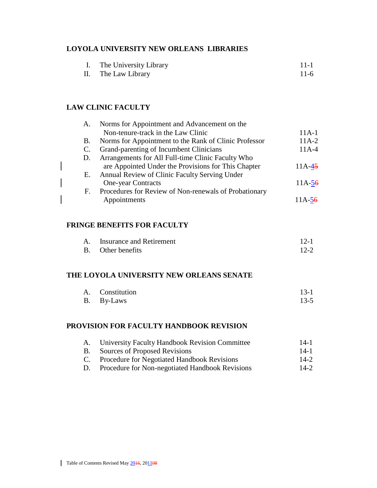#### **LOYOLA UNIVERSITY NEW ORLEANS LIBRARIES**

| The University Library | $11 - 1$ |  |
|------------------------|----------|--|
|                        |          |  |

II. The Law Library 11-6

# **LAW CLINIC FACULTY**

| A. | Norms for Appointment and Advancement on the          |          |
|----|-------------------------------------------------------|----------|
|    | Non-tenure-track in the Law Clinic                    | $11A-1$  |
| В. | Norms for Appointment to the Rank of Clinic Professor | $11A-2$  |
| C. | Grand-parenting of Incumbent Clinicians               | $11A-4$  |
| D. | Arrangements for All Full-time Clinic Faculty Who     |          |
|    | are Appointed Under the Provisions for This Chapter   | $11A-45$ |
| Е. | Annual Review of Clinic Faculty Serving Under         |          |
|    | One-year Contracts                                    | $11A-56$ |
| F. | Procedures for Review of Non-renewals of Probationary |          |
|    | Appointments                                          | $11A-56$ |
|    |                                                       |          |

## **FRINGE BENEFITS FOR FACULTY**

| A. | Insurance and Retirement | $12-1$   |
|----|--------------------------|----------|
|    | B. Other benefits        | $12 - 2$ |

#### **THE LOYOLA UNIVERSITY NEW ORLEANS SENATE**

| A. Constitution | $13-1$ |
|-----------------|--------|
| B. By-Laws      | $13-5$ |

# **PROVISION FOR FACULTY HANDBOOK REVISION**

|           | A. University Faculty Handbook Revision Committee | $14-1$ |
|-----------|---------------------------------------------------|--------|
| <b>B.</b> | Sources of Proposed Revisions                     | $14-1$ |
|           | C. Procedure for Negotiated Handbook Revisions    | $14-2$ |
| D.        | Procedure for Non-negotiated Handbook Revisions   | $14-2$ |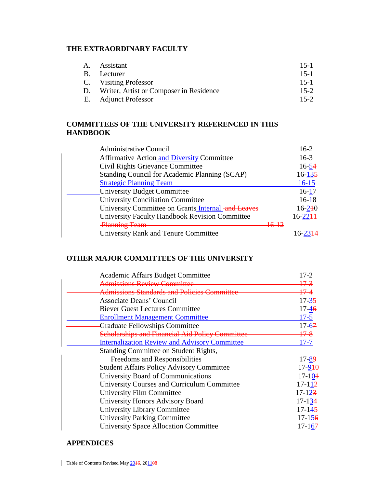# **THE EXTRAORDINARY FACULTY**

| A. Assistant                               | $15-1$ |
|--------------------------------------------|--------|
| B. Lecturer                                | $15-1$ |
| C. Visiting Professor                      | $15-1$ |
| D. Writer, Artist or Composer in Residence | $15-2$ |
| E. Adjunct Professor                       | $15-2$ |
|                                            |        |

#### **COMMITTEES OF THE UNIVERSITY REFERENCED IN THIS HANDBOOK**

| <b>Administrative Council</b>                         | $16-2$        |
|-------------------------------------------------------|---------------|
| <b>Affirmative Action and Diversity Committee</b>     | $16-3$        |
| Civil Rights Grievance Committee                      | $16 - 54$     |
| Standing Council for Academic Planning (SCAP)         | $16 - 135$    |
| <b>Strategic Planning Team</b>                        | $16 - 15$     |
| University Budget Committee                           | $16-17$       |
| <b>University Conciliation Committee</b>              | $16 - 18$     |
| University Committee on Grants Internal -and Leaves   | $16 - 240$    |
| <b>University Faculty Handbook Revision Committee</b> | $16 - 22 + 1$ |
| <b>Planning Team</b>                                  |               |
| <b>University Rank and Tenure Committee</b>           |               |

# **OTHER MAJOR COMMITTEES OF THE UNIVERSITY**

| Academic Affairs Budget Committee                      | $17 - 2$   |
|--------------------------------------------------------|------------|
| Admissions Review Committee                            | $17 - 3$   |
| Admissions Standards and Policies Comm                 | 17–4       |
| Associate Deans' Council                               | $17 - 35$  |
| <b>Biever Guest Lectures Committee</b>                 | $17 - 46$  |
| <b>Enrollment Management Committee</b>                 | $17 - 5$   |
| <b>Graduate Fellowships Committee</b>                  | $17 - 67$  |
| <b>Scholarships and Financial Aid Policy Committee</b> | 17–8       |
| <b>Internalization Review and Advisory Committee</b>   | $17 - 7$   |
| Standing Committee on Student Rights,                  |            |
| Freedoms and Responsibilities                          | $17 - 89$  |
| <b>Student Affairs Policy Advisory Committee</b>       | $17 - 910$ |
| University Board of Communications                     | $17 - 104$ |
| <b>University Courses and Curriculum Committee</b>     | $17 - 112$ |
| <b>University Film Committee</b>                       | $17 - 123$ |
| University Honors Advisory Board                       | $17 - 134$ |
| University Library Committee                           | $17 - 145$ |
| <b>University Parking Committee</b>                    | $17 - 156$ |
| <b>University Space Allocation Committee</b>           | $17 - 167$ |

#### **APPENDICES**